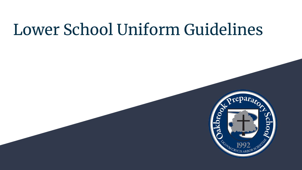# Lower School Uniform Guidelines

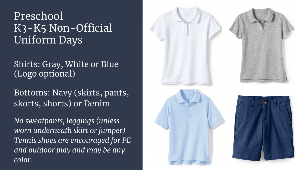### Preschool K<sub>3</sub>-K<sub>5</sub> Non-Official Uniform Days

#### Shirts: Gray, White or Blue (Logo optional)

Bottoms: Navy (skirts, pants, skorts, shorts) or Denim

*No sweatpants, leggings (unless worn underneath skirt or jumper) Tennis shoes are encouraged for PE and outdoor play and may be any color.*

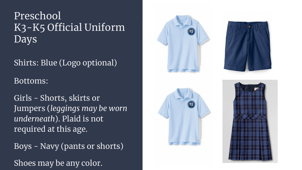### Preschool K3-K5 Official Uniform Days

Shirts: Blue (Logo optional)

#### Bottoms:

Girls - Shorts, skirts or Jumpers (*leggings may be worn underneath*). Plaid is not required at this age.

Boys - Navy (pants or shorts) Shoes may be any color.







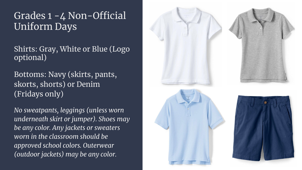#### Grades 1 -4 Non-Official Uniform Days

Shirts: Gray, White or Blue (Logo optional)

Bottoms: Navy (skirts, pants, skorts, shorts) or Denim (Fridays only)

*No sweatpants, leggings (unless worn underneath skirt or jumper). Shoes may be any color. Any jackets or sweaters worn in the classroom should be approved school colors. Outerwear (outdoor jackets) may be any color.* 

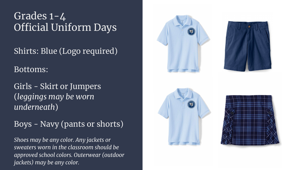#### Grades 1-4 Official Uniform Days

Shirts: Blue (Logo required)

Bottoms:

Girls - Skirt or Jumpers (*leggings may be worn underneath*)

Boys - Navy (pants or shorts)

*Shoes may be any color. Any jackets or sweaters worn in the classroom should be approved school colors. Outerwear (outdoor jackets) may be any color.*







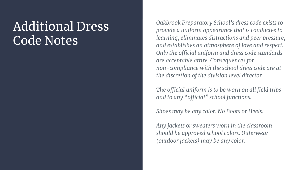### Additional Dress Code Notes

*Oakbrook Preparatory School's dress code exists to provide a uniform appearance that is conducive to learning, eliminates distractions and peer pressure, and establishes an atmosphere of love and respect. Only the official uniform and dress code standards are acceptable attire. Consequences for non-compliance with the school dress code are at the discretion of the division level director.* 

*The official uniform is to be worn on all field trips and to any "official" school functions.*

*Shoes may be any color. No Boots or Heels.*

*Any jackets or sweaters worn in the classroom should be approved school colors. Outerwear (outdoor jackets) may be any color.*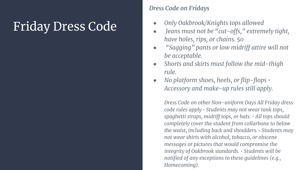## Friday Dress Code

#### *Dress Code on Fridays*

- *● Only Oakbrook/Knights tops allowed*
- *● Jeans must not be "cut-offs," extremely tight, have holes, rips, or chains. 50*
- *● "Sagging" pants or low midriff attire will not be acceptable.*
- *● Shorts and skirts must follow the mid-thigh rule.*
- *● No platform shoes, heels, or flip-flops Accessory and make-up rules still apply.*

*Dress Code on other Non-uniform Days All Friday dress code rules apply • Students may not wear tank tops, spaghetti straps, midriff tops, or hats. • All tops should completely cover the student from collarbone to below the waist, including back and shoulders. • Students may not wear shirts with alcohol, tobacco, or obscene messages or pictures that would compromise the integrity of Oakbrook standards. • Students will be notified of any exceptions to these guidelines (e.g., Homecoming).*